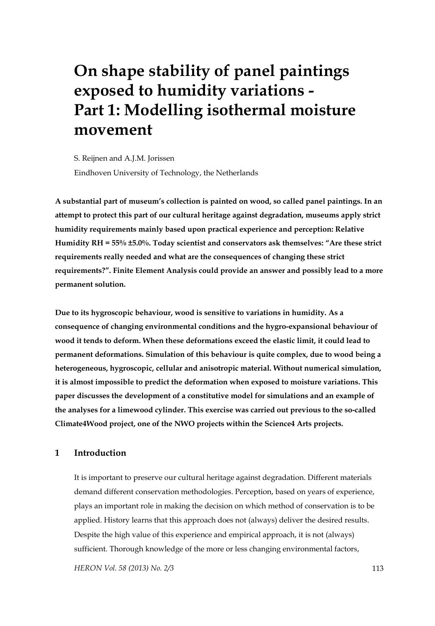# **On shape stability of panel paintings exposed to humidity variations - Part 1: Modelling isothermal moisture movement**

S. Reijnen and A.J.M. Jorissen Eindhoven University of Technology, the Netherlands

**A substantial part of museum's collection is painted on wood, so called panel paintings. In an attempt to protect this part of our cultural heritage against degradation, museums apply strict humidity requirements mainly based upon practical experience and perception: Relative Humidity RH = 55% ±5.0%. Today scientist and conservators ask themselves: "Are these strict requirements really needed and what are the consequences of changing these strict requirements?". Finite Element Analysis could provide an answer and possibly lead to a more permanent solution.** 

**Due to its hygroscopic behaviour, wood is sensitive to variations in humidity. As a consequence of changing environmental conditions and the hygro-expansional behaviour of wood it tends to deform. When these deformations exceed the elastic limit, it could lead to permanent deformations. Simulation of this behaviour is quite complex, due to wood being a heterogeneous, hygroscopic, cellular and anisotropic material. Without numerical simulation, it is almost impossible to predict the deformation when exposed to moisture variations. This paper discusses the development of a constitutive model for simulations and an example of the analyses for a limewood cylinder. This exercise was carried out previous to the so-called Climate4Wood project, one of the NWO projects within the Science4 Arts projects.** 

# **1 Introduction**

It is important to preserve our cultural heritage against degradation. Different materials demand different conservation methodologies. Perception, based on years of experience, plays an important role in making the decision on which method of conservation is to be applied. History learns that this approach does not (always) deliver the desired results. Despite the high value of this experience and empirical approach, it is not (always) sufficient. Thorough knowledge of the more or less changing environmental factors,

*HERON Vol. 58 (2013) No. 2/3* 113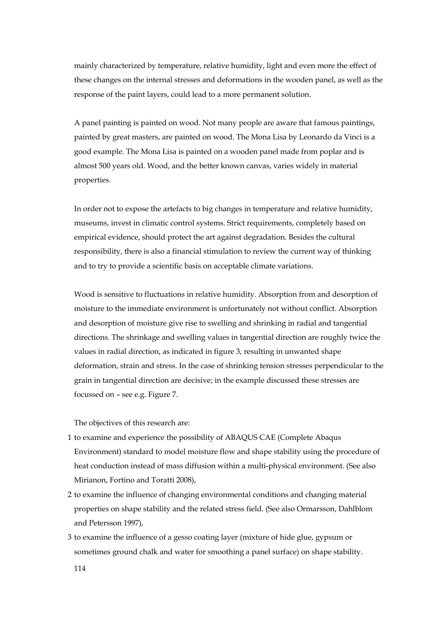mainly characterized by temperature, relative humidity, light and even more the effect of these changes on the internal stresses and deformations in the wooden panel, as well as the response of the paint layers, could lead to a more permanent solution.

A panel painting is painted on wood. Not many people are aware that famous paintings, painted by great masters, are painted on wood. The Mona Lisa by Leonardo da Vinci is a good example. The Mona Lisa is painted on a wooden panel made from poplar and is almost 500 years old. Wood, and the better known canvas, varies widely in material properties.

In order not to expose the artefacts to big changes in temperature and relative humidity, museums, invest in climatic control systems. Strict requirements, completely based on empirical evidence, should protect the art against degradation. Besides the cultural responsibility, there is also a financial stimulation to review the current way of thinking and to try to provide a scientific basis on acceptable climate variations.

Wood is sensitive to fluctuations in relative humidity. Absorption from and desorption of moisture to the immediate environment is unfortunately not without conflict. Absorption and desorption of moisture give rise to swelling and shrinking in radial and tangential directions. The shrinkage and swelling values in tangential direction are roughly twice the values in radial direction, as indicated in figure 3, resulting in unwanted shape deformation, strain and stress. In the case of shrinking tension stresses perpendicular to the grain in tangential direction are decisive; in the example discussed these stresses are focussed on – see e.g. Figure 7.

The objectives of this research are:

- 1 to examine and experience the possibility of ABAQUS CAE (Complete Abaqus Environment) standard to model moisture flow and shape stability using the procedure of heat conduction instead of mass diffusion within a multi-physical environment. (See also Mirianon, Fortino and Toratti 2008),
- 2 to examine the influence of changing environmental conditions and changing material properties on shape stability and the related stress field. (See also Ormarsson, Dahlblom and Petersson 1997),
- 3 to examine the influence of a gesso coating layer (mixture of hide glue, gypsum or sometimes ground chalk and water for smoothing a panel surface) on shape stability.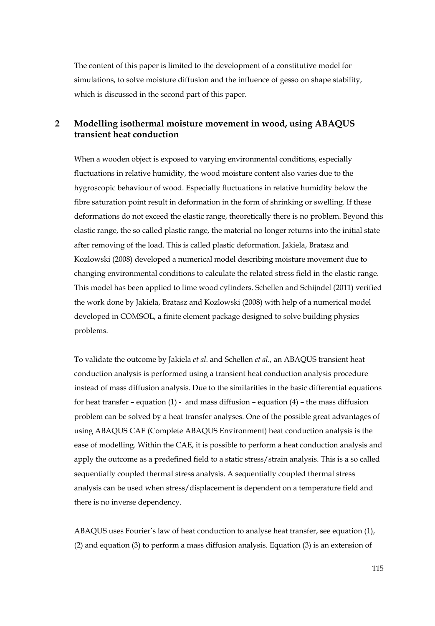The content of this paper is limited to the development of a constitutive model for simulations, to solve moisture diffusion and the influence of gesso on shape stability, which is discussed in the second part of this paper.

# **2 Modelling isothermal moisture movement in wood, using ABAQUS transient heat conduction**

When a wooden object is exposed to varying environmental conditions, especially fluctuations in relative humidity, the wood moisture content also varies due to the hygroscopic behaviour of wood. Especially fluctuations in relative humidity below the fibre saturation point result in deformation in the form of shrinking or swelling. If these deformations do not exceed the elastic range, theoretically there is no problem. Beyond this elastic range, the so called plastic range, the material no longer returns into the initial state after removing of the load. This is called plastic deformation. Jakiela, Bratasz and Kozlowski (2008) developed a numerical model describing moisture movement due to changing environmental conditions to calculate the related stress field in the elastic range. This model has been applied to lime wood cylinders. Schellen and Schijndel (2011) verified the work done by Jakiela, Bratasz and Kozlowski (2008) with help of a numerical model developed in COMSOL, a finite element package designed to solve building physics problems.

To validate the outcome by Jakiela *et al*. and Schellen *et al*., an ABAQUS transient heat conduction analysis is performed using a transient heat conduction analysis procedure instead of mass diffusion analysis. Due to the similarities in the basic differential equations for heat transfer – equation (1) - and mass diffusion – equation (4) – the mass diffusion problem can be solved by a heat transfer analyses. One of the possible great advantages of using ABAQUS CAE (Complete ABAQUS Environment) heat conduction analysis is the ease of modelling. Within the CAE, it is possible to perform a heat conduction analysis and apply the outcome as a predefined field to a static stress/strain analysis. This is a so called sequentially coupled thermal stress analysis. A sequentially coupled thermal stress analysis can be used when stress/displacement is dependent on a temperature field and there is no inverse dependency.

ABAQUS uses Fourier's law of heat conduction to analyse heat transfer, see equation (1), (2) and equation (3) to perform a mass diffusion analysis. Equation (3) is an extension of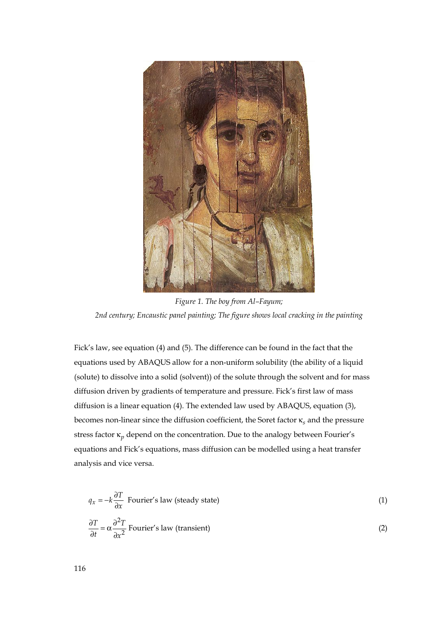

*Figure 1. The boy from Al–Fayum; 2nd century; Encaustic panel painting; The figure shows local cracking in the painting* 

Fick's law, see equation (4) and (5). The difference can be found in the fact that the equations used by ABAQUS allow for a non-uniform solubility (the ability of a liquid (solute) to dissolve into a solid (solvent)) of the solute through the solvent and for mass diffusion driven by gradients of temperature and pressure. Fick's first law of mass diffusion is a linear equation (4). The extended law used by ABAQUS, equation (3), becomes non-linear since the diffusion coefficient, the Soret factor κ*<sup>s</sup>* and the pressure stress factor  $\kappa_p$  depend on the concentration. Due to the analogy between Fourier's equations and Fick's equations, mass diffusion can be modelled using a heat transfer analysis and vice versa.

$$
q_x = -k \frac{\partial T}{\partial x}
$$
 Fourier's law (steady state) (1)  

$$
\frac{\partial T}{\partial t} = \alpha \frac{\partial^2 T}{\partial x^2}
$$
 Fourier's law (transient) (2)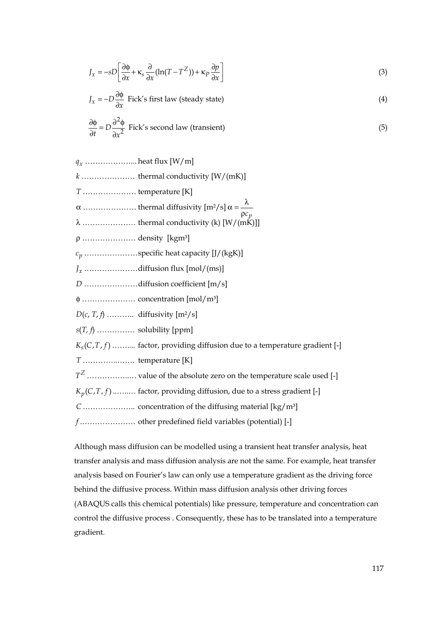$$
J_x = -sD\left[\frac{\partial \phi}{\partial x} + \kappa_s \frac{\partial}{\partial x} (\ln(T - T^Z)) + \kappa_p \frac{\partial p}{\partial x}\right]
$$
 (3)

$$
J_x = -D \frac{\partial \phi}{\partial x}
$$
 Fick's first law (steady state) (4)

$$
\frac{\partial \phi}{\partial t} = D \frac{\partial^2 \phi}{\partial x^2}
$$
 Fick's second law (transient) (5)

*xq* ………………... heat flux [W/m]

 *k* ………………… thermal conductivity [W/(mK)]

 *T* ………………… temperature [K]

<sup>α</sup> ………………… thermal diffusivity [m²/s] <sup>λ</sup> α = ρ *pc*

λ ………………… thermal conductivity (k) [W/(mK)]]

ρ ………………… density [kgm³]

*pc* ………………… specific heat capacity [J/(kgK)]

*xJ* ………………… diffusion flux [mol/(ms)]

*D* ………………… diffusion coefficient [m/s]

φ ………………… concentration [mol/m³]

*D*(*c*, *T*, *f*) ……….. diffusivity [m²/s]

 *s*(*T, f*) …………… solubility [ppm]

 $K_s(C,T,f)$  .......... factor, providing diffusion due to a temperature gradient [-]

*T* …………..……. temperature [K]

 $T^{\mathbb{Z}}$  ………………. value of the absolute zero on the temperature scale used [-]

 $K_n(C, T, f)$  .......... factor, providing diffusion, due to a stress gradient [-]

 *C* .……………….. concentration of the diffusing material [kg/m³]

 *f* .………………… other predefined field variables (potential) [-]

Although mass diffusion can be modelled using a transient heat transfer analysis, heat transfer analysis and mass diffusion analysis are not the same. For example, heat transfer analysis based on Fourier's law can only use a temperature gradient as the driving force behind the diffusive process. Within mass diffusion analysis other driving forces (ABAQUS calls this chemical potentials) like pressure, temperature and concentration can control the diffusive process . Consequently, these has to be translated into a temperature gradient.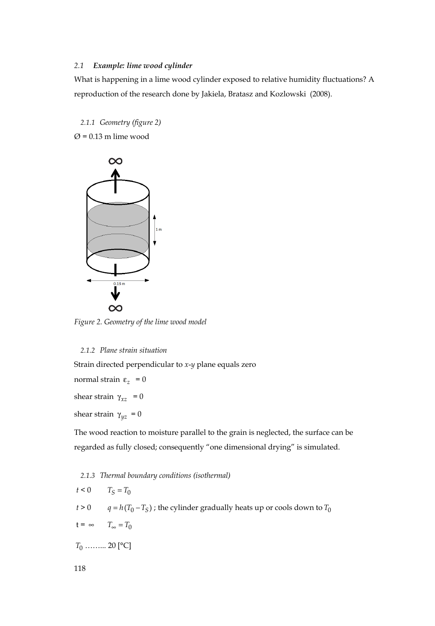# *2.1 Example: lime wood cylinder*

What is happening in a lime wood cylinder exposed to relative humidity fluctuations? A reproduction of the research done by Jakiela, Bratasz and Kozlowski (2008).

*2.1.1 Geometry (figure 2)* 

 $\varnothing$  = 0.13 m lime wood



*Figure 2. Geometry of the lime wood model* 

## *2.1.2 Plane strain situation*

Strain directed perpendicular to *x*-*y* plane equals zero

normal strain  $ε<sub>z</sub> = 0$ 

shear strain  $\gamma_{xz}$  = 0

shear strain  $\gamma_{yz} = 0$ 

The wood reaction to moisture parallel to the grain is neglected, the surface can be regarded as fully closed; consequently "one dimensional drying" is simulated.

*2.1.3 Thermal boundary conditions (isothermal)*   $t < 0$   $T_S = T_0$ 

*t* > 0  $q = h(T_0 - T_S)$ ; the cylinder gradually heats up or cools down to  $T_0$ 

 $t = \infty$   $T_{\infty} = T_0$ 

*T*<sup>0</sup> ……... 20 [°C]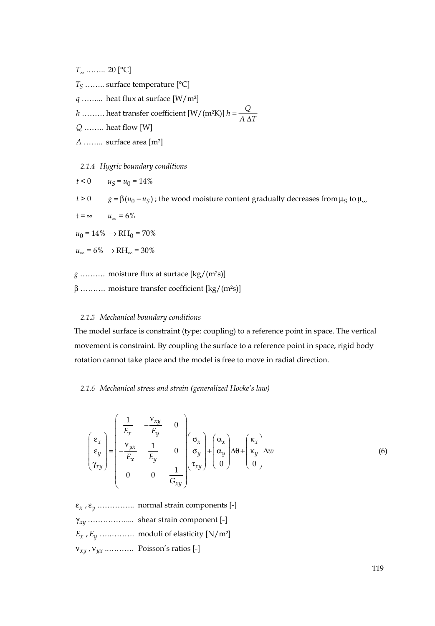*T*<sup>∞</sup> …….. 20 [°C]

*TS* …….. surface temperature [°C]

*q* ……... heat flux at surface [W/m²]

*h* ……… heat transfer coefficient  $\left[W/(m^2K)\right]h = \frac{Q}{A \Delta T}$ 

 *Q* …….. heat flow [W]

*A* …….. surface area [m²]

*2.1.4 Hygric boundary conditions* 

 $t < 0$   $u<sub>S</sub> = u<sub>0</sub> = 14\%$ 

 $t > 0$   $g = \beta(u_0 - u_S)$ ; the wood moisture content gradually decreases from  $\mu_S$  to  $\mu_\infty$ 

 $t = \infty$   $u_{\infty} = 6\%$ 

 $u_0 = 14\% \rightarrow RH_0 = 70\%$ 

 $u_{\infty} = 6\% \rightarrow RH_{\infty} = 30\%$ 

*g* ………. moisture flux at surface [kg/(m²s)]

β ………. moisture transfer coefficient [kg/(m²s)]

## *2.1.5 Mechanical boundary conditions*

The model surface is constraint (type: coupling) to a reference point in space. The vertical movement is constraint. By coupling the surface to a reference point in space, rigid body rotation cannot take place and the model is free to move in radial direction.

## *2.1.6 Mechanical stress and strain (generalized Hooke's law)*

$$
\begin{pmatrix}\n\epsilon_x \\
\epsilon_y \\
\gamma_{xy}\n\end{pmatrix} = \begin{pmatrix}\n\frac{1}{E_x} & -\frac{v_{xy}}{E_y} & 0 \\
-\frac{v_{yx}}{E_x} & \frac{1}{E_y} & 0 \\
0 & 0 & \frac{1}{G_{xy}}\n\end{pmatrix} \begin{pmatrix}\n\sigma_x \\
\sigma_y \\
\tau_{xy}\n\end{pmatrix} + \begin{pmatrix}\n\alpha_x \\
\alpha_y \\
0\n\end{pmatrix} \Delta \theta + \begin{pmatrix}\n\kappa_x \\
\kappa_y \\
0\n\end{pmatrix} \Delta w
$$
\n(6)

ε*<sup>x</sup>* , ε*<sup>y</sup>* .………….. normal strain components [-] γ*xy* …………….... shear strain component [-] *Ex* , *Ey* ….………. moduli of elasticity [N/m²] ν*xy* , ν*yx* ..………. Poisson's ratios [-]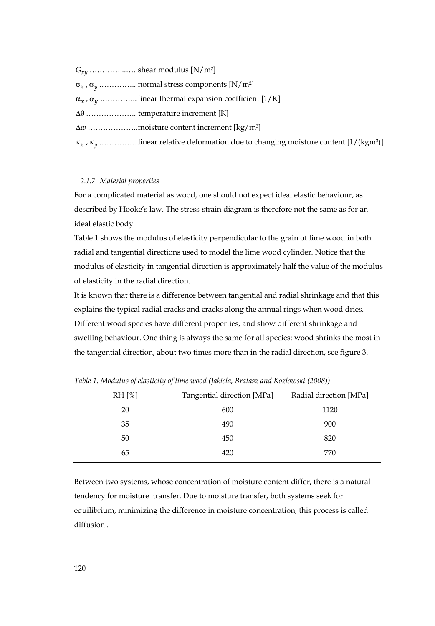*Gxy* …………...…. shear modulus [N/m²]

σ*<sup>x</sup>* , σ*<sup>y</sup>* .………….. normal stress components [N/m²]

 $\alpha_x$ ,  $\alpha_y$  ................ linear thermal expansion coefficient [1/K]

Δθ ……………….. temperature increment [K]

Δ*w* ……………….. moisture content increment [kg/m³]

 $\kappa_x$ ,  $\kappa_y$  ............... linear relative deformation due to changing moisture content [1/(kgm<sup>3</sup>)]

#### *2.1.7 Material properties*

For a complicated material as wood, one should not expect ideal elastic behaviour, as described by Hooke's law. The stress-strain diagram is therefore not the same as for an ideal elastic body.

Table 1 shows the modulus of elasticity perpendicular to the grain of lime wood in both radial and tangential directions used to model the lime wood cylinder. Notice that the modulus of elasticity in tangential direction is approximately half the value of the modulus of elasticity in the radial direction.

It is known that there is a difference between tangential and radial shrinkage and that this explains the typical radial cracks and cracks along the annual rings when wood dries. Different wood species have different properties, and show different shrinkage and swelling behaviour. One thing is always the same for all species: wood shrinks the most in the tangential direction, about two times more than in the radial direction, see figure 3.

| $RH[\%]$ | Tangential direction [MPa] | Radial direction [MPa] |
|----------|----------------------------|------------------------|
| 20       | 600                        | 1120                   |
| 35       | 490                        | 900                    |
| 50       | 450                        | 820                    |
| 65       | 420                        | 770                    |
|          |                            |                        |

*Table 1. Modulus of elasticity of lime wood (Jakiela, Bratasz and Kozlowski (2008))* 

Between two systems, whose concentration of moisture content differ, there is a natural tendency for moisture transfer. Due to moisture transfer, both systems seek for equilibrium, minimizing the difference in moisture concentration, this process is called diffusion .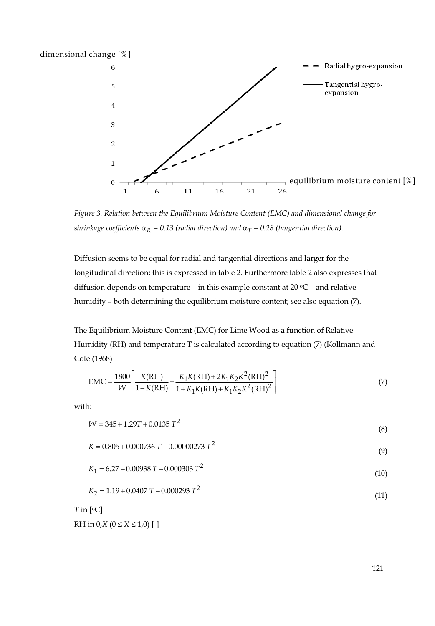dimensional change [%]



*Figure 3. Relation between the Equilibrium Moisture Content (EMC) and dimensional change for shrinkage coefficients*  $\alpha_R = 0.13$  (radial direction) and  $\alpha_T = 0.28$  (tangential direction).

Diffusion seems to be equal for radial and tangential directions and larger for the longitudinal direction; this is expressed in table 2. Furthermore table 2 also expresses that diffusion depends on temperature – in this example constant at  $20 °C$  – and relative humidity – both determining the equilibrium moisture content; see also equation (7).

The Equilibrium Moisture Content (EMC) for Lime Wood as a function of Relative Humidity (RH) and temperature T is calculated according to equation (7) (Kollmann and Cote (1968)

$$
EMC = \frac{1800}{W} \left[ \frac{K(RH)}{1 - K(RH)} + \frac{K_1 K(RH) + 2K_1 K_2 K^2 (RH)^2}{1 + K_1 K(RH) + K_1 K_2 K^2 (RH)^2} \right]
$$
(7)

with:

$$
W = 345 + 1.29T + 0.0135 T^2
$$
\n(8)

$$
K = 0.805 + 0.000736 \, T - 0.00000273 \, T^2 \tag{9}
$$

$$
K_1 = 6.27 - 0.00938 \, T - 0.000303 \, T^2 \tag{10}
$$

$$
K_2 = 1.19 + 0.0407 \text{ T} - 0.000293 \text{ T}^2 \tag{11}
$$

*T* in [oC]

$$
RH \text{ in } 0, X \ (0 \le X \le 1, 0) [-]
$$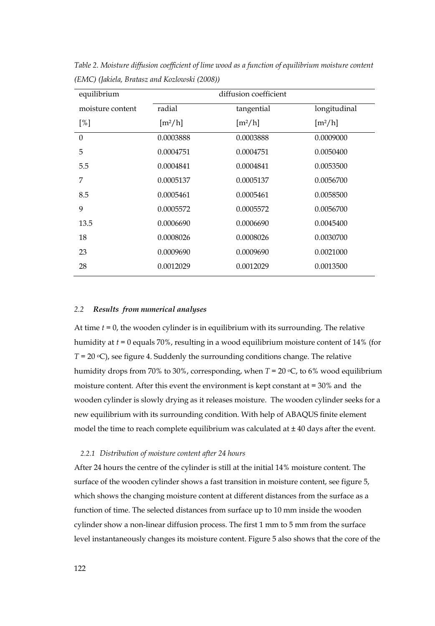| equilibrium      | diffusion coefficient        |                              |                              |  |
|------------------|------------------------------|------------------------------|------------------------------|--|
| moisture content | radial                       | tangential                   | longitudinal                 |  |
| [%]              | $\left[\frac{m^2}{h}\right]$ | $\left[\frac{m^2}{h}\right]$ | $\left[\frac{m^2}{h}\right]$ |  |
| $\Omega$         | 0.0003888                    | 0.0003888                    | 0.0009000                    |  |
| 5                | 0.0004751                    | 0.0004751                    | 0.0050400                    |  |
| 5.5              | 0.0004841                    | 0.0004841                    | 0.0053500                    |  |
| 7                | 0.0005137                    | 0.0005137                    | 0.0056700                    |  |
| 8.5              | 0.0005461                    | 0.0005461                    | 0.0058500                    |  |
| 9                | 0.0005572                    | 0.0005572                    | 0.0056700                    |  |
| 13.5             | 0.0006690                    | 0.0006690                    | 0.0045400                    |  |
| 18               | 0.0008026                    | 0.0008026                    | 0.0030700                    |  |
| 23               | 0.0009690                    | 0.0009690                    | 0.0021000                    |  |
| 28               | 0.0012029                    | 0.0012029                    | 0.0013500                    |  |

*Table 2. Moisture diffusion coefficient of lime wood as a function of equilibrium moisture content (EMC) (Jakiela, Bratasz and Kozlowski (2008))* 

# *2.2 Results from numerical analyses*

At time *t* = 0, the wooden cylinder is in equilibrium with its surrounding. The relative humidity at *t* = 0 equals 70%, resulting in a wood equilibrium moisture content of 14% (for  $T = 20 \text{ }^{\circ}\text{C}$ , see figure 4. Suddenly the surrounding conditions change. The relative humidity drops from 70% to 30%, corresponding, when  $T = 20$  °C, to 6% wood equilibrium moisture content. After this event the environment is kept constant at = 30% and the wooden cylinder is slowly drying as it releases moisture. The wooden cylinder seeks for a new equilibrium with its surrounding condition. With help of ABAQUS finite element model the time to reach complete equilibrium was calculated at ± 40 days after the event.

## *2.2.1 Distribution of moisture content after 24 hours*

After 24 hours the centre of the cylinder is still at the initial 14% moisture content. The surface of the wooden cylinder shows a fast transition in moisture content, see figure 5, which shows the changing moisture content at different distances from the surface as a function of time. The selected distances from surface up to 10 mm inside the wooden cylinder show a non-linear diffusion process. The first 1 mm to 5 mm from the surface level instantaneously changes its moisture content. Figure 5 also shows that the core of the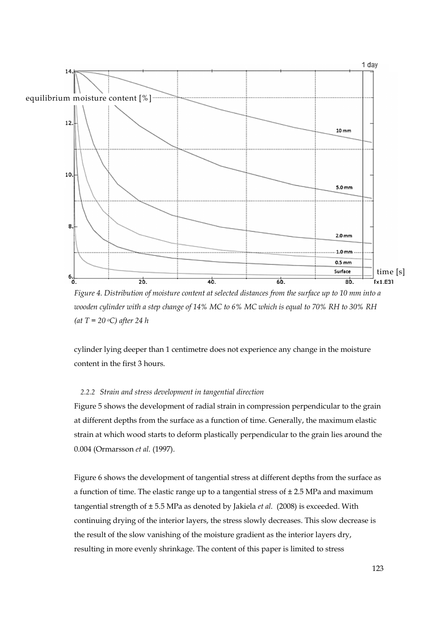

*Figure 4. Distribution of moisture content at selected distances from the surface up to 10 mm into a wooden cylinder with a step change of 14% MC to 6% MC which is equal to 70% RH to 30% RH (at T = 20 oC) after 24 h* 

cylinder lying deeper than 1 centimetre does not experience any change in the moisture content in the first 3 hours.

## *2.2.2 Strain and stress development in tangential direction*

Figure 5 shows the development of radial strain in compression perpendicular to the grain at different depths from the surface as a function of time. Generally, the maximum elastic strain at which wood starts to deform plastically perpendicular to the grain lies around the 0.004 (Ormarsson *et al.* (1997).

Figure 6 shows the development of tangential stress at different depths from the surface as a function of time. The elastic range up to a tangential stress of  $\pm$  2.5 MPa and maximum tangential strength of ± 5.5 MPa as denoted by Jakiela *et al.* (2008) is exceeded. With continuing drying of the interior layers, the stress slowly decreases. This slow decrease is the result of the slow vanishing of the moisture gradient as the interior layers dry, resulting in more evenly shrinkage. The content of this paper is limited to stress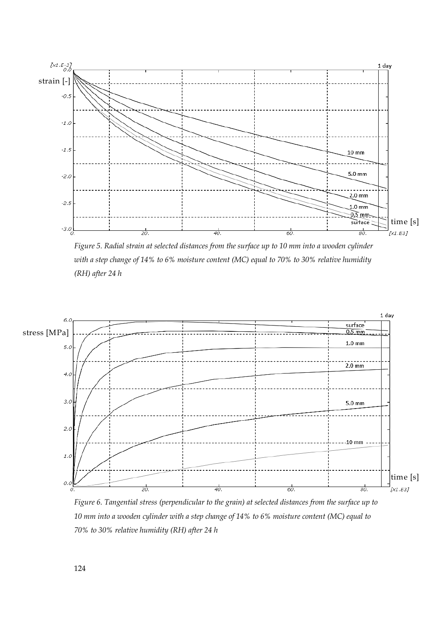

*Figure 5. Radial strain at selected distances from the surface up to 10 mm into a wooden cylinder with a step change of 14% to 6% moisture content (MC) equal to 70% to 30% relative humidity (RH) after 24 h* 



*Figure 6. Tangential stress (perpendicular to the grain) at selected distances from the surface up to 10 mm into a wooden cylinder with a step change of 14% to 6% moisture content (MC) equal to 70% to 30% relative humidity (RH) after 24 h*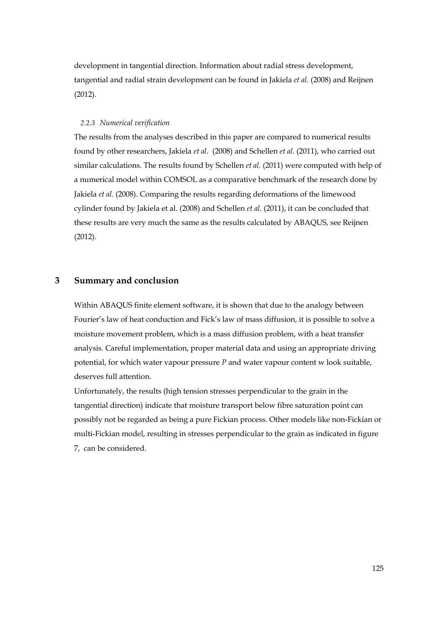development in tangential direction. Information about radial stress development, tangential and radial strain development can be found in Jakiela *et al.* (2008) and Reijnen (2012).

## *2.2.3 Numerical verification*

The results from the analyses described in this paper are compared to numerical results found by other researchers, Jakiela *et al*. (2008) and Schellen *et al*. (2011), who carried out similar calculations. The results found by Schellen *et al*. (2011) were computed with help of a numerical model within COMSOL as a comparative benchmark of the research done by Jakiela *et al*. (2008). Comparing the results regarding deformations of the limewood cylinder found by Jakiela et al. (2008) and Schellen *et al*. (2011), it can be concluded that these results are very much the same as the results calculated by ABAQUS, see Reijnen (2012).

# **3 Summary and conclusion**

Within ABAQUS finite element software, it is shown that due to the analogy between Fourier's law of heat conduction and Fick's law of mass diffusion, it is possible to solve a moisture movement problem, which is a mass diffusion problem, with a heat transfer analysis. Careful implementation, proper material data and using an appropriate driving potential, for which water vapour pressure *P* and water vapour content w look suitable, deserves full attention.

Unfortunately, the results (high tension stresses perpendicular to the grain in the tangential direction) indicate that moisture transport below fibre saturation point can possibly not be regarded as being a pure Fickian process. Other models like non-Fickian or multi-Fickian model, resulting in stresses perpendicular to the grain as indicated in figure 7, can be considered.